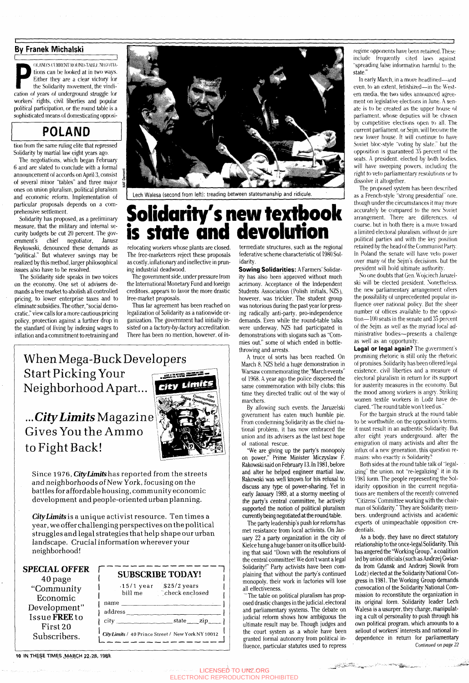#### **By Franek Michalski**

 $\overline{\phantom{a}}$ Figure 3 context Roose-Figure for the Solidarity<br>Either they are a clear victory for<br>the Solidarity movement, the vindi-<br>cation of years of underground struggle for OLAND'S CURRENT ROUND-TABLE NEGOTIAtions can be looked at in two ways. Either they are a clear victory for the Solidarity movement, the vindiworkers' rights, civil liberties and popular political participation, or the round table is a sophisticated means of domesticating opposi-

## **POLAND**

tion from the same ruling elite that repressed Solidarity by martial law eight years ago.

The negotiations, which began February 6 and are slated to conclude with a formal announcement of accords on April 3, consist of several minor "tables" and three major ones on union pluralism, political pluralism and economic reform. Implementation of particular proposals depends on a comprehensive settlement.

Solidarity has proposed, as a preliminary measure, that the military and internal security budgets be cut 20 percent. The government's chief negotiator, Janusz Reykowski, denounced these demands as "political." But whatever savings may be realized by this method, larger philosophical issues also have to be resolved.

> *City Limits* is a unique activist resource. Ten times a year, we offer challenging perspectives on the political struggles and legal strategies that help shape our urban landscape. Crucial information wherever your neighborhood!  $\overline{\Gamma}$

The Solidarity side speaks in two voices on the economy. One set of advisers demands a free market to abolish all controlled pricing, to lower enterprise taxes and to eliminate subsidies. The other, "social democratic," view calls for a more cautious pricing policy, protection against a further drop in the standard of living by indexing wages to inflation and a commitment to retraining and



Lech Walesa (second from left): treading between statesmanship and ridicule.

## **Solidarity's new textbook is state and devolution**

relocating workers whose plants are closed. The free-marketeers reject these proposals as costly, inflationary and ineffective in pruning industrial deadwood.

The government side, under pressure from the International Monetary Fund and foreign creditors, appears to favor the more drastic free-market proposals.

Thus far agreement has been reached on legalization of Solidarity as a nationwide organization. The government had initially insisted on a factory-by-factory accreditation. There has been no mention, however, of in-

When Mega-Buck Developers Start Picking Your Neighborhood Apart..,

### *...CityLimits* Magazine Gives You the Ammo to Fight Back!



Since 1976, *CityLimitshas* reported from the streets and neighborhoods of New York, focusing on the battles for affordable housing, community economic development and people-oriented urban planning.

**SPECIAL OFFER** 40 page "Community Economic Development" Issue FREE to First 20 Subscribers.

#### **SUBSCRIBE TODAY!**

name

I I ,15/1 year bill me  $$25/2 \text{ years}$ check enclosed  $\prod_{i=1}^n$ 

| city \_\_ state **1**  *CityLimits/* 40 Prince Street / New York NY 10012 '

 $address_$   $\_$ 

#### 10 IN THESE TIMES MARCH 22-28, 1989.

In early March, in a move headlined—and even, to an extent, fetishized—in the Western media, the two sides announced agreement on legislative elections in June. A senate is to be created as the upper house of parliament, whose deputies will be chosen by competitive elections open to all. The current parliament, or Sejm. will become the new lower house. It will continue to have Soviet bloc-style "voting by slate." but the opposition is guaranteed 35 percent of the seats. A president, elected by both bodies, will have sweeping powers, including the right to veto parliamentary resolutions *or* to dissolve it altogether.

termediate structures, such as the regional federative scheme characteristic of 1980 Solidarity.

**Sowing Solidarities: A Farmers'** Solidarity has also been approved without much acrimony. Acceptance of the Independent Students Association (Polish initials, NZS), however, was trickier. The student group was notorious during the past year for pressing radically anti-party, pro-independence demands. Even while the round-table talks were underway, NZS had participated in demonstrations with slogans such as "Commies out," some of which ended in bottlethrowing and arrests.

A truce of sorts has been reached. On March 8. NZS held a huge demonstration in Warsaw commemorating the "March events" of 1968. A year ago the police dispersed the same commemoration with billy clubs; this time they directed traffic out of the way of marchers.

By allowing such events, the Jaruzelski government has eaten much humble pie. From condemning Solidarity as the chief national problem, it has now embraced the union and its advisers as the last best hope of national rescue.

"We are giving up the party's monopoly on power," Prime Minister Miczyslaw F. Rakowski said on February 13. In 1981, before and after he helped engineer martial law, Rakowski was well known for his refusal to discuss any type of power-sharing. Yet in early January 1989, at a stormy meeting of the parry's central committee, he actively supported the notion of political pluralism currently being negotiated at the round table.

The party leadership's push for reform has met resistance from local activists. On January 22 a party organization in the city of Kielce hung a huge banner on its office building that said "Down with the resolutions of the central committee! We don't want a legal Solidarity!" Party activists have been complaining that without the party's continued monopoly, their work in factories will lose all effectiveness. ~The table on political pluralism has proposed drastic changes in the judicial, electoral and parliamentary systems. The debate on judicial reform shows how ambiguous the ultimate result may be. Though judges and the court system as a whole have been granted formal autonomy from political influence, particular statutes used to repress

aria a

وي موجه المستخدم المنابع المنابي المستخدم المنابع المنابع المنابع المنابع المنابع المنابع المنابع المنابع المن<br>المنابع

regime opponents have been retained.These include frequently cited laws against "spreading false information harmful to the state."

The proposed system has been described as a French-style "strong presidential" one. though under the circumstances it may more accurately be compared to the new Soviet arrangement. There are differences, of course, but in both there is a move toward a limited electoral pluralism, without de jure political parties and with the key position retained by the head of the Communist Party. In Poland the senate will have veto power over many of the Sejm's decisions, but the president will hold ultimate authority.

No one doubts that Gen. Wojciech Jaruzelski will be elected president. Nonetheless, the new parliamentary arrangement offers the possibility of unprecedented popular influence over national policy. But the sheer number of offices available to the opposition—100 seats in the senate and 35 percent of the Sejm. as well as the myriad local administrative bodies—presents a challenge as well as an opportunity.

**Legal or legal again?** The government's promising rhetoric is still only the rhetoric of promises. Solidarity has been offered legal existence, civil liberties and a measure of electoral pluralism in return lor its support for austerity measures in the economy. But the mood among workers is angry. Striking women textile workers in Lodz have declared. "The round table won't feed us."

For the bargain struck at the round table to be worthwhile, on the opposition's terms, it must result in an authentic Solidarity. But after eight years underground, after the emigration of many activists and alter the influx of a new generation, this question remains: who exactly *is* Solidarity?

Both sides at the round table talk of "legalizing" the union, not "re-legalizing" it in its 1981 form. The people representing the Solidarity opposition in the current negotiations are members of the recently convened "Citizens' Committee working with the chairman of Solidarity." They are Solidarity members, underground activists and academic experts of unimpeachable opposition credentials.

As a body, they have no direct statutory relationship to the once-legal Solidarity. This has angered the "Working Group," a coalition led by union officials (such as Andrzej Gwiazda from Gdansk and Andrzej Slowik from Lodz) elected at the Solidarity National Congress in 1981. The Working Group demands convocation of the Solidarity National Commission to reconstitute the organization in its original form. Solidarity leader Lech Walesa is a usurper, they charge, manipulating a cult of personality to push through his own political program, which amounts to a sellout of workers' interests and national independence in return for parliamentary *Continued on* page *22*

LICENSED TO UNZ.ORG ELECTRONIC REPRODUCTION PROHIBITED